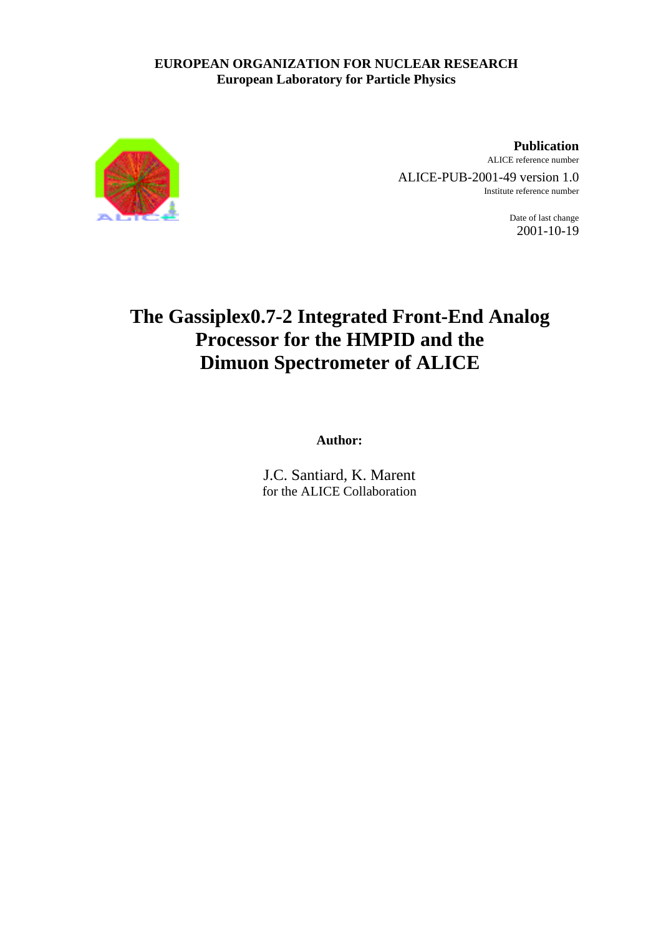# **EUROPEAN ORGANIZATION FOR NUCLEAR RESEARCH European Laboratory for Particle Physics**



**Publication** ALICE reference number ALICE-PUB-2001-49 version 1.0

Institute reference number

Date of last change 2001-10-19

# **The Gassiplex0.7-2 Integrated Front-End Analog Processor for the HMPID and the Dimuon Spectrometer of ALICE**

**Author:**

J.C. Santiard, K. Marent for the ALICE Collaboration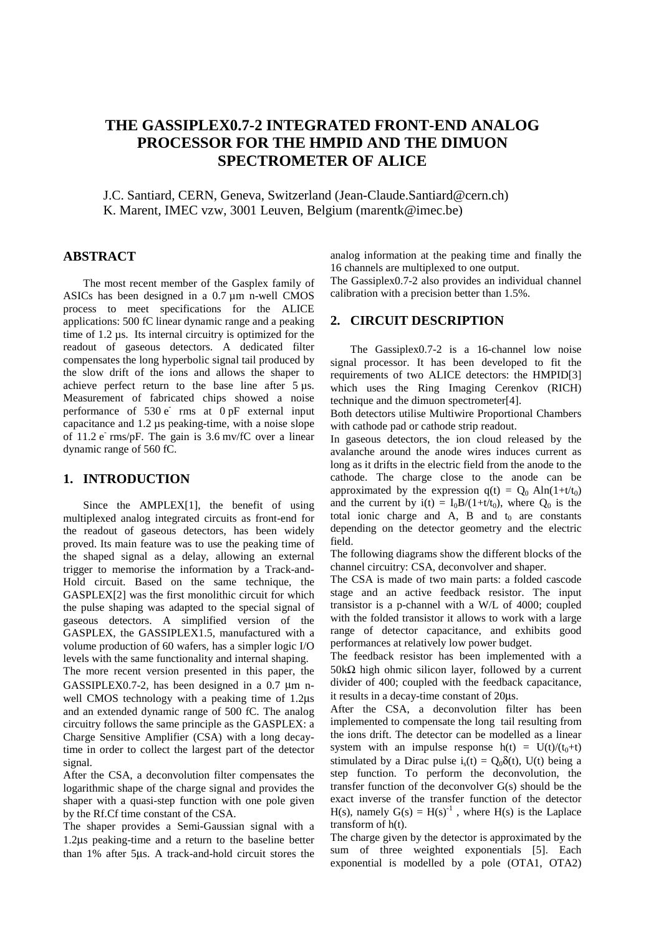# **THE GASSIPLEX0.7-2 INTEGRATED FRONT-END ANALOG PROCESSOR FOR THE HMPID AND THE DIMUON SPECTROMETER OF ALICE**

J.C. Santiard, CERN, Geneva, Switzerland (Jean-Claude.Santiard@cern.ch) K. Marent, IMEC vzw, 3001 Leuven, Belgium (marentk@imec.be)

# **ABSTRACT**

The most recent member of the Gasplex family of ASICs has been designed in a 0.7 µm n-well CMOS process to meet specifications for the ALICE applications: 500 fC linear dynamic range and a peaking time of 1.2 µs. Its internal circuitry is optimized for the readout of gaseous detectors. A dedicated filter compensates the long hyperbolic signal tail produced by the slow drift of the ions and allows the shaper to achieve perfect return to the base line after 5 µs. Measurement of fabricated chips showed a noise performance of  $530 e^-$  rms at  $0 pF$  external input capacitance and 1.2 µs peaking-time, with a noise slope of  $11.2 e^-$  rms/pF. The gain is 3.6 mv/fC over a linear dynamic range of 560 fC.

# **1. INTRODUCTION**

Since the AMPLEX[1], the benefit of using multiplexed analog integrated circuits as front-end for the readout of gaseous detectors, has been widely proved. Its main feature was to use the peaking time of the shaped signal as a delay, allowing an external trigger to memorise the information by a Track-and-Hold circuit. Based on the same technique, the GASPLEX[2] was the first monolithic circuit for which the pulse shaping was adapted to the special signal of gaseous detectors. A simplified version of the GASPLEX, the GASSIPLEX1.5, manufactured with a volume production of 60 wafers, has a simpler logic I/O levels with the same functionality and internal shaping.

The more recent version presented in this paper, the GASSIPLEX0.7-2, has been designed in a 0.7  $\mu$ m nwell CMOS technology with a peaking time of 1.2µs and an extended dynamic range of 500 fC. The analog circuitry follows the same principle as the GASPLEX: a Charge Sensitive Amplifier (CSA) with a long decaytime in order to collect the largest part of the detector signal.

After the CSA, a deconvolution filter compensates the logarithmic shape of the charge signal and provides the shaper with a quasi-step function with one pole given by the Rf.Cf time constant of the CSA.

The shaper provides a Semi-Gaussian signal with a 1.2µs peaking-time and a return to the baseline better than 1% after 5µs. A track-and-hold circuit stores the analog information at the peaking time and finally the 16 channels are multiplexed to one output.

The Gassiplex0.7-2 also provides an individual channel calibration with a precision better than 1.5%.

# **2. CIRCUIT DESCRIPTION**

The Gassiplex0.7-2 is a 16-channel low noise signal processor. It has been developed to fit the requirements of two ALICE detectors: the HMPID[3] which uses the Ring Imaging Cerenkov (RICH) technique and the dimuon spectrometer[4].

Both detectors utilise Multiwire Proportional Chambers with cathode pad or cathode strip readout.

In gaseous detectors, the ion cloud released by the avalanche around the anode wires induces current as long as it drifts in the electric field from the anode to the cathode. The charge close to the anode can be approximated by the expression  $q(t) = Q_0 A ln(1+t/t_0)$ and the current by  $i(t) = I_0B/(1+t/t_0)$ , where  $Q_0$  is the total ionic charge and  $A$ ,  $B$  and  $t_0$  are constants depending on the detector geometry and the electric field.

The following diagrams show the different blocks of the channel circuitry: CSA, deconvolver and shaper.

The CSA is made of two main parts: a folded cascode stage and an active feedback resistor. The input transistor is a p-channel with a W/L of 4000; coupled with the folded transistor it allows to work with a large range of detector capacitance, and exhibits good performances at relatively low power budget.

The feedback resistor has been implemented with a 50kΩ high ohmic silicon layer, followed by a current divider of 400; coupled with the feedback capacitance, it results in a decay-time constant of 20µs.

After the CSA, a deconvolution filter has been implemented to compensate the long tail resulting from the ions drift. The detector can be modelled as a linear system with an impulse response  $h(t) = U(t)/(t_0+t)$ stimulated by a Dirac pulse i.(t) =  $Q_0\delta(t)$ , U(t) being a step function. To perform the deconvolution, the transfer function of the deconvolver G(s) should be the exact inverse of the transfer function of the detector H(s), namely  $G(s) = H(s)^{-1}$ , where H(s) is the Laplace transform of h(t).

The charge given by the detector is approximated by the sum of three weighted exponentials [5]. Each exponential is modelled by a pole (OTA1, OTA2)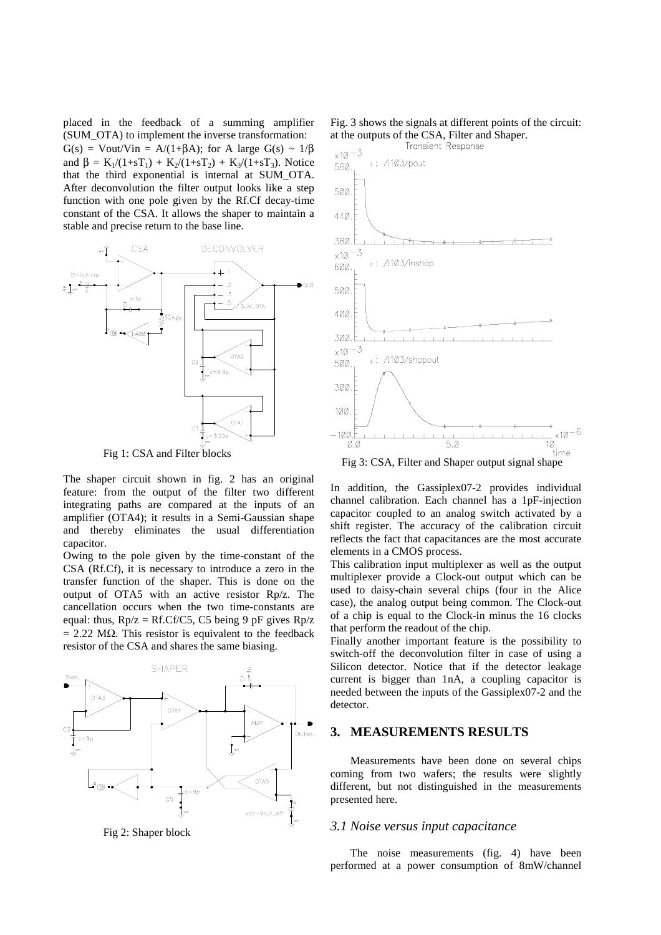placed in the feedback of a summing amplifier (SUM\_OTA) to implement the inverse transformation:  $G(s) = Vout/Vin = A/(1+\beta A);$  for A large  $G(s) \sim 1/\beta$ and  $\beta = K_1/(1+sT_1) + K_2/(1+sT_2) + K_3/(1+sT_3)$ . Notice that the third exponential is internal at SUM\_OTA. After deconvolution the filter output looks like a step function with one pole given by the Rf.Cf decay-time constant of the CSA. It allows the shaper to maintain a stable and precise return to the base line.



Fig 1: CSA and Filter blocks

The shaper circuit shown in fig. 2 has an original feature: from the output of the filter two different integrating paths are compared at the inputs of an amplifier (OTA4); it results in a Semi-Gaussian shape and thereby eliminates the usual differentiation capacitor.

Owing to the pole given by the time-constant of the CSA (Rf.Cf), it is necessary to introduce a zero in the transfer function of the shaper. This is done on the output of OTA5 with an active resistor Rp/z. The cancellation occurs when the two time-constants are equal: thus,  $Rp/z = Rf.Cf/C5$ , C5 being 9 pF gives  $Rp/z$  $= 2.22$  M $\Omega$ . This resistor is equivalent to the feedback resistor of the CSA and shares the same biasing.



Fig 2: Shaper block

Fig. 3 shows the signals at different points of the circuit: at the outputs of the CSA, Filter and Shaper.<br>Transient Response



In addition, the Gassiplex07-2 provides individual channel calibration. Each channel has a 1pF-injection capacitor coupled to an analog switch activated by a shift register. The accuracy of the calibration circuit reflects the fact that capacitances are the most accurate elements in a CMOS process.

This calibration input multiplexer as well as the output multiplexer provide a Clock-out output which can be used to daisy-chain several chips (four in the Alice case), the analog output being common. The Clock-out of a chip is equal to the Clock-in minus the 16 clocks that perform the readout of the chip.

Finally another important feature is the possibility to switch-off the deconvolution filter in case of using a Silicon detector. Notice that if the detector leakage current is bigger than 1nA, a coupling capacitor is needed between the inputs of the Gassiplex07-2 and the detector.

#### **3. MEASUREMENTS RESULTS**

Measurements have been done on several chips coming from two wafers; the results were slightly different, but not distinguished in the measurements presented here.

#### *3.1 Noise versus input capacitance*

The noise measurements (fig. 4) have been performed at a power consumption of 8mW/channel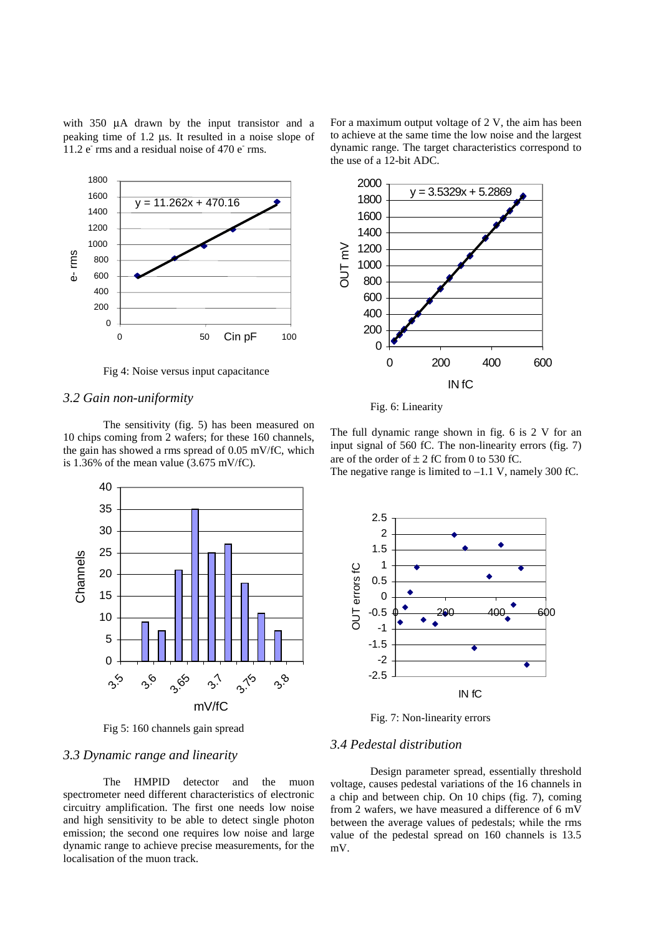with 350  $\mu$ A drawn by the input transistor and a peaking time of 1.2 µs. It resulted in a noise slope of 11.2 e<sup>-</sup> rms and a residual noise of 470 e<sup>-</sup> rms.



Fig 4: Noise versus input capacitance

#### *3.2 Gain non-uniformity*

The sensitivity (fig. 5) has been measured on 10 chips coming from 2 wafers; for these 160 channels, the gain has showed a rms spread of 0.05 mV/fC, which is 1.36% of the mean value (3.675 mV/fC).



Fig 5: 160 channels gain spread

### *3.3 Dynamic range and linearity*

The HMPID detector and the muon spectrometer need different characteristics of electronic circuitry amplification. The first one needs low noise and high sensitivity to be able to detect single photon emission; the second one requires low noise and large dynamic range to achieve precise measurements, for the localisation of the muon track.



Fig. 6: Linearity

The full dynamic range shown in fig. 6 is 2 V for an input signal of 560 fC. The non-linearity errors (fig. 7) are of the order of  $\pm 2$  fC from 0 to 530 fC.

The negative range is limited to  $-1.1$  V, namely 300 fC.



Fig. 7: Non-linearity errors

### *3.4 Pedestal distribution*

Design parameter spread, essentially threshold voltage, causes pedestal variations of the 16 channels in a chip and between chip. On 10 chips (fig. 7), coming from 2 wafers, we have measured a difference of 6 mV between the average values of pedestals; while the rms value of the pedestal spread on 160 channels is 13.5 mV.

For a maximum output voltage of 2 V, the aim has been to achieve at the same time the low noise and the largest dynamic range. The target characteristics correspond to the use of a 12-bit ADC.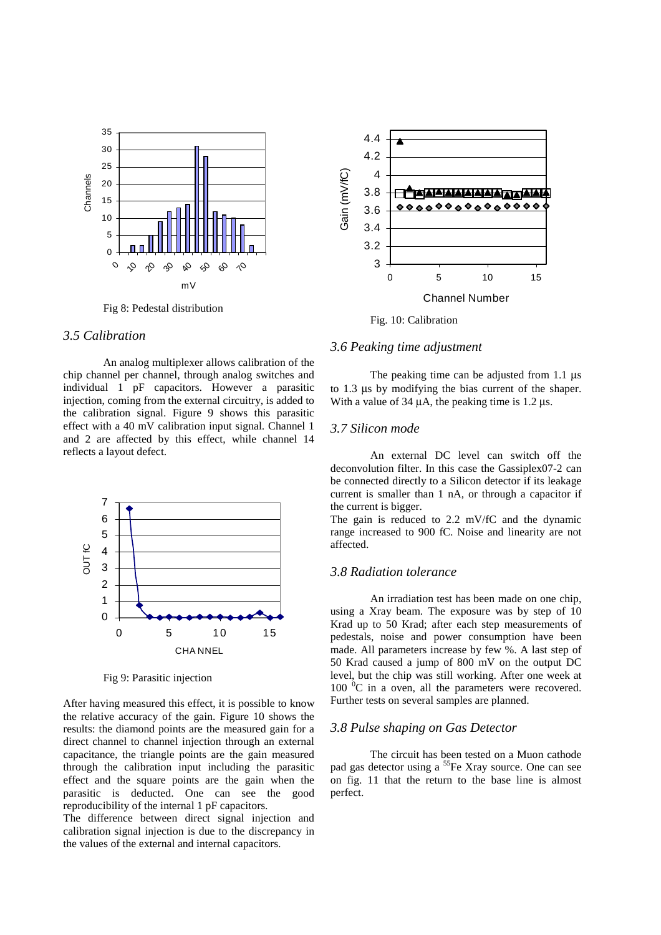

Fig 8: Pedestal distribution

# *3.5 Calibration*

An analog multiplexer allows calibration of the chip channel per channel, through analog switches and individual 1 pF capacitors. However a parasitic injection, coming from the external circuitry, is added to the calibration signal. Figure 9 shows this parasitic effect with a 40 mV calibration input signal. Channel 1 and 2 are affected by this effect, while channel 14 reflects a layout defect.



Fig 9: Parasitic injection

After having measured this effect, it is possible to know the relative accuracy of the gain. Figure 10 shows the results: the diamond points are the measured gain for a direct channel to channel injection through an external capacitance, the triangle points are the gain measured through the calibration input including the parasitic effect and the square points are the gain when the parasitic is deducted. One can see the good reproducibility of the internal 1 pF capacitors.

The difference between direct signal injection and calibration signal injection is due to the discrepancy in the values of the external and internal capacitors.



Fig. 10: Calibration

### *3.6 Peaking time adjustment*

The peaking time can be adjusted from 1.1  $\mu$ s to 1.3 µs by modifying the bias current of the shaper. With a value of 34  $\mu$ A, the peaking time is 1.2  $\mu$ s.

#### *3.7 Silicon mode*

An external DC level can switch off the deconvolution filter. In this case the Gassiplex07-2 can be connected directly to a Silicon detector if its leakage current is smaller than 1 nA, or through a capacitor if the current is bigger.

The gain is reduced to 2.2 mV/fC and the dynamic range increased to 900 fC. Noise and linearity are not affected.

# *3.8 Radiation tolerance*

An irradiation test has been made on one chip, using a Xray beam. The exposure was by step of 10 Krad up to 50 Krad; after each step measurements of pedestals, noise and power consumption have been made. All parameters increase by few %. A last step of 50 Krad caused a jump of 800 mV on the output DC level, but the chip was still working. After one week at  $100 \degree C$  in a oven, all the parameters were recovered. Further tests on several samples are planned.

#### *3.8 Pulse shaping on Gas Detector*

The circuit has been tested on a Muon cathode pad gas detector using a <sup>55</sup>Fe Xray source. One can see on fig. 11 that the return to the base line is almost perfect.